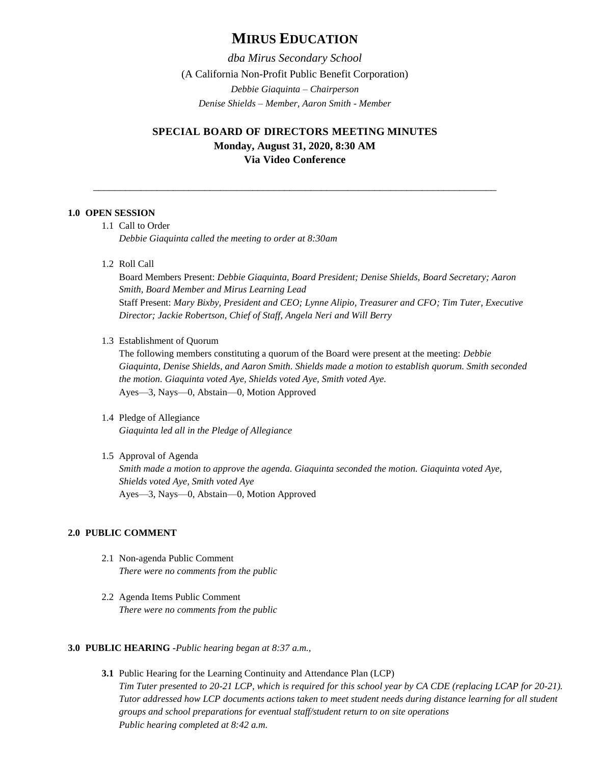# **MIRUS EDUCATION**

*dba Mirus Secondary School* (A California Non-Profit Public Benefit Corporation) *Debbie Giaquinta – Chairperson Denise Shields – Member, Aaron Smith - Member*

## **SPECIAL BOARD OF DIRECTORS MEETING MINUTES Monday, August 31, 2020, 8:30 AM Via Video Conference**

\_\_\_\_\_\_\_\_\_\_\_\_\_\_\_\_\_\_\_\_\_\_\_\_\_\_\_\_\_\_\_\_\_\_\_\_\_\_\_\_\_\_\_\_\_\_\_\_\_\_\_\_\_\_\_\_\_\_\_\_\_\_\_\_\_\_\_\_\_\_\_\_\_\_\_\_

## **1.0 OPEN SESSION**

1.1 Call to Order

*Debbie Giaquinta called the meeting to order at 8:30am*

1.2 Roll Call

Board Members Present: *Debbie Giaquinta, Board President; Denise Shields, Board Secretary; Aaron Smith, Board Member and Mirus Learning Lead* Staff Present: *Mary Bixby, President and CEO; Lynne Alipio, Treasurer and CFO; Tim Tuter, Executive Director; Jackie Robertson, Chief of Staff, Angela Neri and Will Berry*

1.3 Establishment of Quorum

The following members constituting a quorum of the Board were present at the meeting: *Debbie Giaquinta, Denise Shields, and Aaron Smith. Shields made a motion to establish quorum. Smith seconded the motion. Giaquinta voted Aye, Shields voted Aye, Smith voted Aye.* Ayes—3, Nays—0, Abstain—0, Motion Approved

- 1.4 Pledge of Allegiance *Giaquinta led all in the Pledge of Allegiance*
- 1.5 Approval of Agenda *Smith made a motion to approve the agenda. Giaquinta seconded the motion. Giaquinta voted Aye, Shields voted Aye, Smith voted Aye* Ayes—3, Nays—0, Abstain—0, Motion Approved

#### **2.0 PUBLIC COMMENT**

- 2.1 Non-agenda Public Comment *There were no comments from the public*
- 2.2 Agenda Items Public Comment *There were no comments from the public*

#### **3.0 PUBLIC HEARING -***Public hearing began at 8:37 a.m.,*

**3.1** Public Hearing for the Learning Continuity and Attendance Plan (LCP) *Tim Tuter presented to 20-21 LCP, which is required for this school year by CA CDE (replacing LCAP for 20-21). Tutor addressed how LCP documents actions taken to meet student needs during distance learning for all student groups and school preparations for eventual staff/student return to on site operations Public hearing completed at 8:42 a.m.*